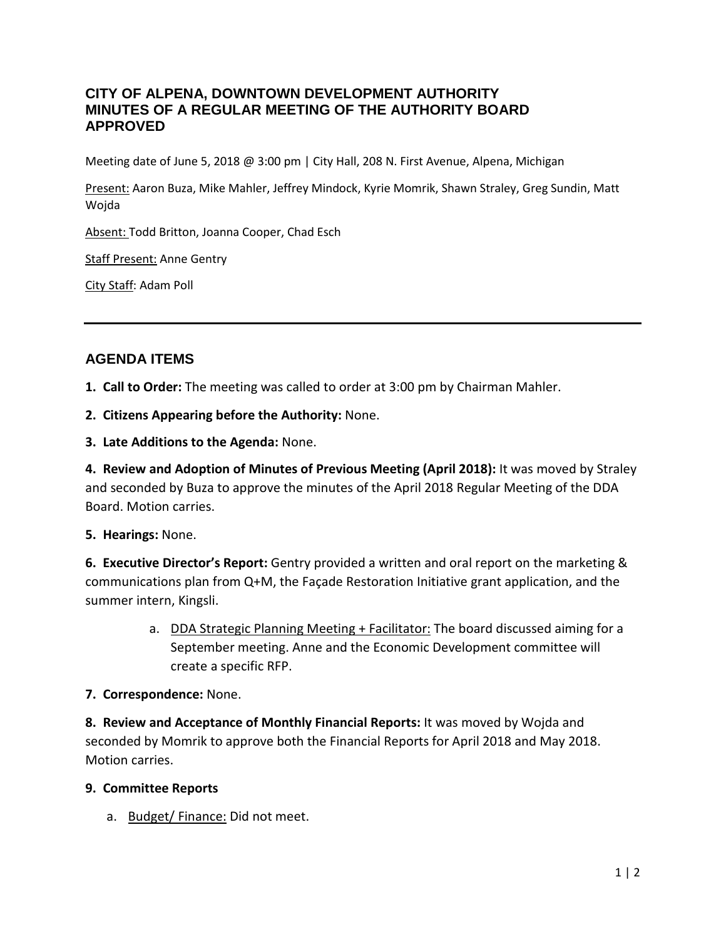### **CITY OF ALPENA, DOWNTOWN DEVELOPMENT AUTHORITY MINUTES OF A REGULAR MEETING OF THE AUTHORITY BOARD APPROVED**

Meeting date of June 5, 2018 @ 3:00 pm | City Hall, 208 N. First Avenue, Alpena, Michigan

Present: Aaron Buza, Mike Mahler, Jeffrey Mindock, Kyrie Momrik, Shawn Straley, Greg Sundin, Matt Wojda

Absent: Todd Britton, Joanna Cooper, Chad Esch

Staff Present: Anne Gentry

City Staff: Adam Poll

# **AGENDA ITEMS**

**1. Call to Order:** The meeting was called to order at 3:00 pm by Chairman Mahler.

**2. Citizens Appearing before the Authority:** None.

**3. Late Additions to the Agenda:** None.

**4. Review and Adoption of Minutes of Previous Meeting (April 2018):** It was moved by Straley and seconded by Buza to approve the minutes of the April 2018 Regular Meeting of the DDA Board. Motion carries.

#### **5. Hearings:** None.

**6. Executive Director's Report:** Gentry provided a written and oral report on the marketing & communications plan from Q+M, the Façade Restoration Initiative grant application, and the summer intern, Kingsli.

> a. DDA Strategic Planning Meeting + Facilitator: The board discussed aiming for a September meeting. Anne and the Economic Development committee will create a specific RFP.

### **7. Correspondence:** None.

**8. Review and Acceptance of Monthly Financial Reports:** It was moved by Wojda and seconded by Momrik to approve both the Financial Reports for April 2018 and May 2018. Motion carries.

#### **9. Committee Reports**

a. Budget/ Finance: Did not meet.